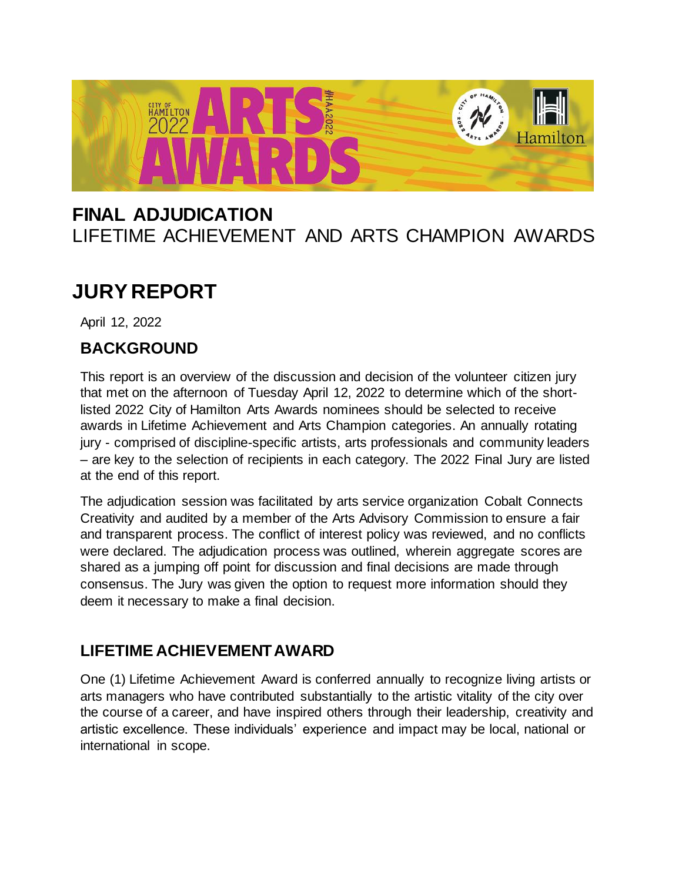

# **FINAL ADJUDICATION** LIFETIME ACHIEVEMENT AND ARTS CHAMPION AWARDS

# **JURY REPORT**

April 12, 2022

### **BACKGROUND**

This report is an overview of the discussion and decision of the volunteer citizen jury that met on the afternoon of Tuesday April 12, 2022 to determine which of the shortlisted 2022 City of Hamilton Arts Awards nominees should be selected to receive awards in Lifetime Achievement and Arts Champion categories. An annually rotating jury - comprised of discipline-specific artists, arts professionals and community leaders – are key to the selection of recipients in each category. The 2022 Final Jury are listed at the end of this report.

The adjudication session was facilitated by arts service organization Cobalt Connects Creativity and audited by a member of the Arts Advisory Commission to ensure a fair and transparent process. The conflict of interest policy was reviewed, and no conflicts were declared. The adjudication process was outlined, wherein aggregate scores are shared as a jumping off point for discussion and final decisions are made through consensus. The Jury was given the option to request more information should they deem it necessary to make a final decision.

## **LIFETIME ACHIEVEMENTAWARD**

One (1) Lifetime Achievement Award is conferred annually to recognize living artists or arts managers who have contributed substantially to the artistic vitality of the city over the course of a career, and have inspired others through their leadership, creativity and artistic excellence. These individuals' experience and impact may be local, national or international in scope.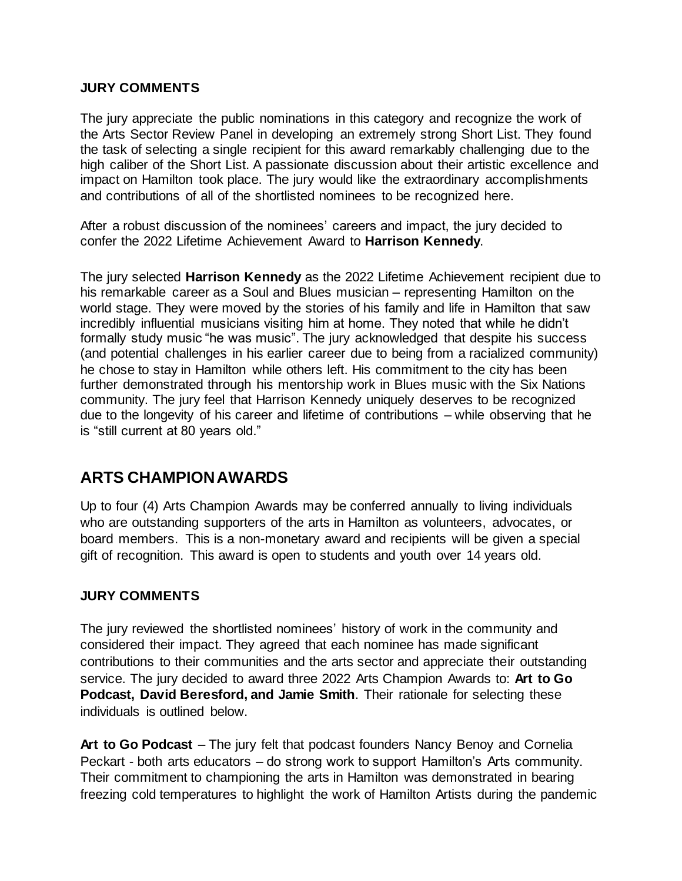#### **JURY COMMENTS**

The jury appreciate the public nominations in this category and recognize the work of the Arts Sector Review Panel in developing an extremely strong Short List. They found the task of selecting a single recipient for this award remarkably challenging due to the high caliber of the Short List. A passionate discussion about their artistic excellence and impact on Hamilton took place. The jury would like the extraordinary accomplishments and contributions of all of the shortlisted nominees to be recognized here.

After a robust discussion of the nominees' careers and impact, the jury decided to confer the 2022 Lifetime Achievement Award to **Harrison Kennedy**.

The jury selected **Harrison Kennedy** as the 2022 Lifetime Achievement recipient due to his remarkable career as a Soul and Blues musician – representing Hamilton on the world stage. They were moved by the stories of his family and life in Hamilton that saw incredibly influential musicians visiting him at home. They noted that while he didn't formally study music "he was music". The jury acknowledged that despite his success (and potential challenges in his earlier career due to being from a racialized community) he chose to stay in Hamilton while others left. His commitment to the city has been further demonstrated through his mentorship work in Blues music with the Six Nations community. The jury feel that Harrison Kennedy uniquely deserves to be recognized due to the longevity of his career and lifetime of contributions – while observing that he is "still current at 80 years old."

### **ARTS CHAMPIONAWARDS**

Up to four (4) Arts Champion Awards may be conferred annually to living individuals who are outstanding supporters of the arts in Hamilton as volunteers, advocates, or board members. This is a non-monetary award and recipients will be given a special gift of recognition. This award is open to students and youth over 14 years old.

#### **JURY COMMENTS**

The jury reviewed the shortlisted nominees' history of work in the community and considered their impact. They agreed that each nominee has made significant contributions to their communities and the arts sector and appreciate their outstanding service. The jury decided to award three 2022 Arts Champion Awards to: **Art to Go Podcast, David Beresford, and Jamie Smith**. Their rationale for selecting these individuals is outlined below.

**Art to Go Podcast** – The jury felt that podcast founders Nancy Benoy and Cornelia Peckart - both arts educators – do strong work to support Hamilton's Arts community. Their commitment to championing the arts in Hamilton was demonstrated in bearing freezing cold temperatures to highlight the work of Hamilton Artists during the pandemic